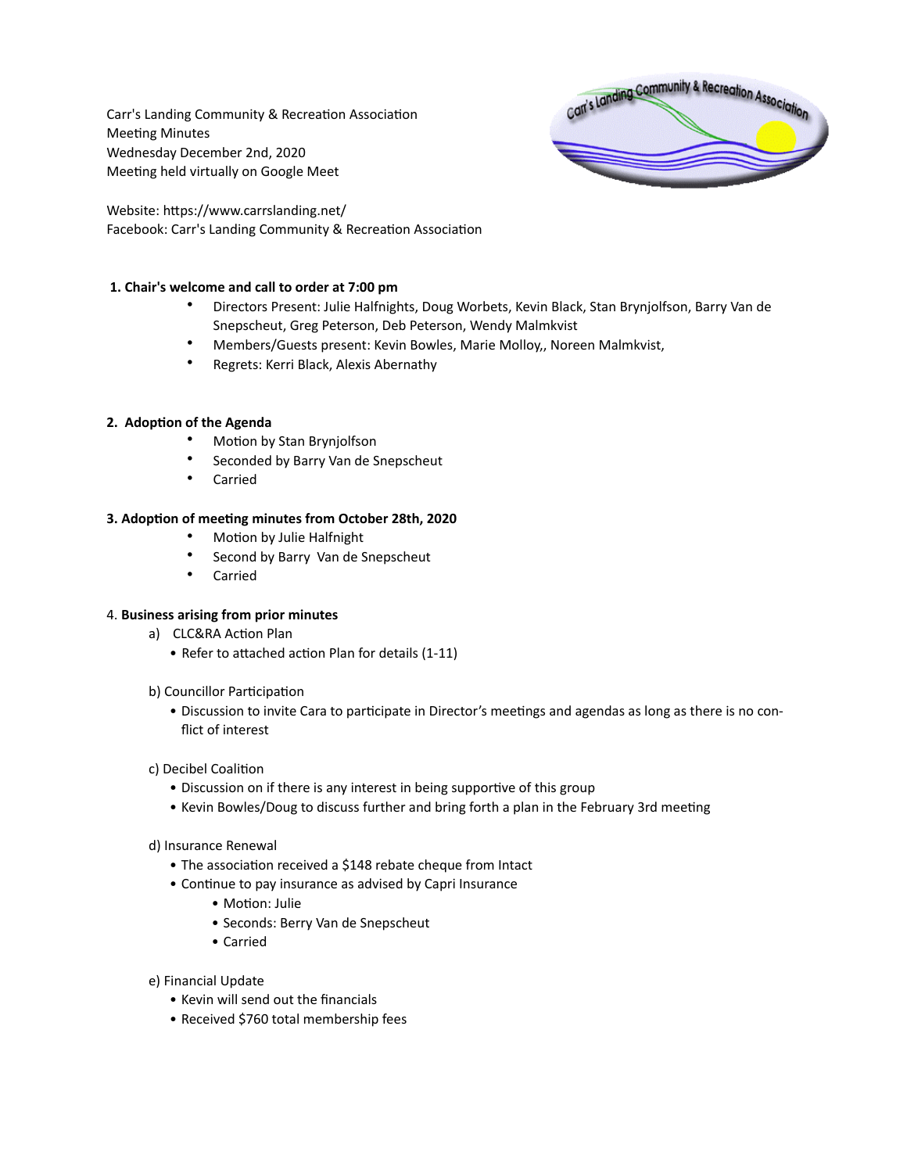Carr's Landing Community & Recreation Association Meeting Minutes Wednesday December 2nd, 2020 Meeting held virtually on Google Meet



Website: https://www.carrslanding.net/ Facebook: Carr's Landing Community & Recreation Association

## **1. Chair's welcome and call to order at 7:00 pm**

- Directors Present: Julie Halfnights, Doug Worbets, Kevin Black, Stan Brynjolfson, Barry Van de Snepscheut, Greg Peterson, Deb Peterson, Wendy Malmkvist
- Members/Guests present: Kevin Bowles, Marie Molloy,, Noreen Malmkvist,
- Regrets: Kerri Black, Alexis Abernathy

#### **2. Adoption of the Agenda**

- Motion by Stan Brynjolfson
- Seconded by Barry Van de Snepscheut
- Carried

#### **3. Adoption of meeting minutes from October 28th, 2020**

- Motion by Julie Halfnight
- Second by Barry Van de Snepscheut
- Carried

## 4. **Business arising from prior minutes**

- a) CLC&RA Action Plan
	- Refer to attached action Plan for details (1-11)
- b) Councillor Participation
	- Discussion to invite Cara to participate in Director's meetings and agendas as long as there is no conflict of interest

## c) Decibel Coalition

- Discussion on if there is any interest in being supportive of this group
- Kevin Bowles/Doug to discuss further and bring forth a plan in the February 3rd meeting

#### d) Insurance Renewal

- The association received a \$148 rebate cheque from Intact
- Continue to pay insurance as advised by Capri Insurance
	- Motion: Julie
	- Seconds: Berry Van de Snepscheut
	- Carried
- e) Financial Update
	- Kevin will send out the financials
	- Received \$760 total membership fees